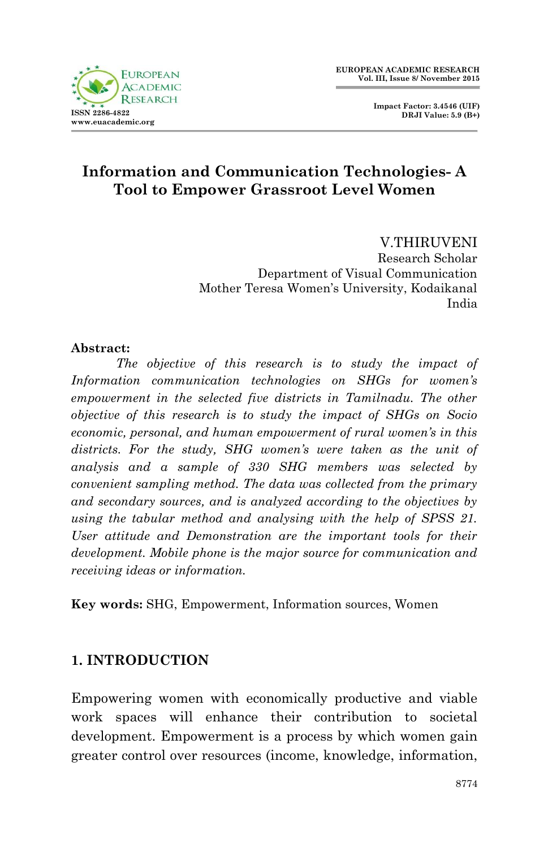



## **Information and Communication Technologies- A Tool to Empower Grassroot Level Women**

V.THIRUVENI Research Scholar Department of Visual Communication Mother Teresa Women"s University, Kodaikanal India

#### **Abstract:**

*The objective of this research is to study the impact of Information communication technologies on SHGs for women's*  empowerment in the selected five districts in Tamilnadu. The other *objective of this research is to study the impact of SHGs on Socio economic, personal, and human empowerment of rural women's in this districts. For the study, SHG women's were taken as the unit of analysis and a sample of 330 SHG members was selected by convenient sampling method. The data was collected from the primary and secondary sources, and is analyzed according to the objectives by using the tabular method and analysing with the help of SPSS 21. User attitude and Demonstration are the important tools for their development. Mobile phone is the major source for communication and receiving ideas or information.*

**Key words:** SHG, Empowerment, Information sources, Women

#### **1. INTRODUCTION**

Empowering women with economically productive and viable work spaces will enhance their contribution to societal development. Empowerment is a process by which women gain greater control over resources (income, knowledge, information,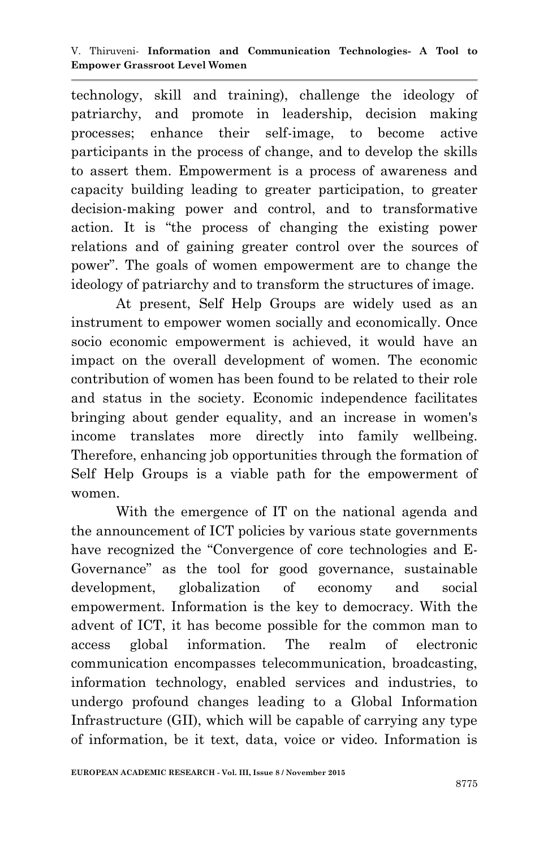technology, skill and training), challenge the ideology of patriarchy, and promote in leadership, decision making processes; enhance their self-image, to become active participants in the process of change, and to develop the skills to assert them. Empowerment is a process of awareness and capacity building leading to greater participation, to greater decision-making power and control, and to transformative action. It is "the process of changing the existing power relations and of gaining greater control over the sources of power". The goals of women empowerment are to change the ideology of patriarchy and to transform the structures of image.

At present, Self Help Groups are widely used as an instrument to empower women socially and economically. Once socio economic empowerment is achieved, it would have an impact on the overall development of women. The economic contribution of women has been found to be related to their role and status in the society. Economic independence facilitates bringing about gender equality, and an increase in women's income translates more directly into family wellbeing. Therefore, enhancing job opportunities through the formation of Self Help Groups is a viable path for the empowerment of women.

With the emergence of IT on the national agenda and the announcement of ICT policies by various state governments have recognized the "Convergence of core technologies and E-Governance" as the tool for good governance, sustainable development, globalization of economy and social empowerment. Information is the key to democracy. With the advent of ICT, it has become possible for the common man to access global information. The realm of electronic communication encompasses telecommunication, broadcasting, information technology, enabled services and industries, to undergo profound changes leading to a Global Information Infrastructure (GII), which will be capable of carrying any type of information, be it text, data, voice or video. Information is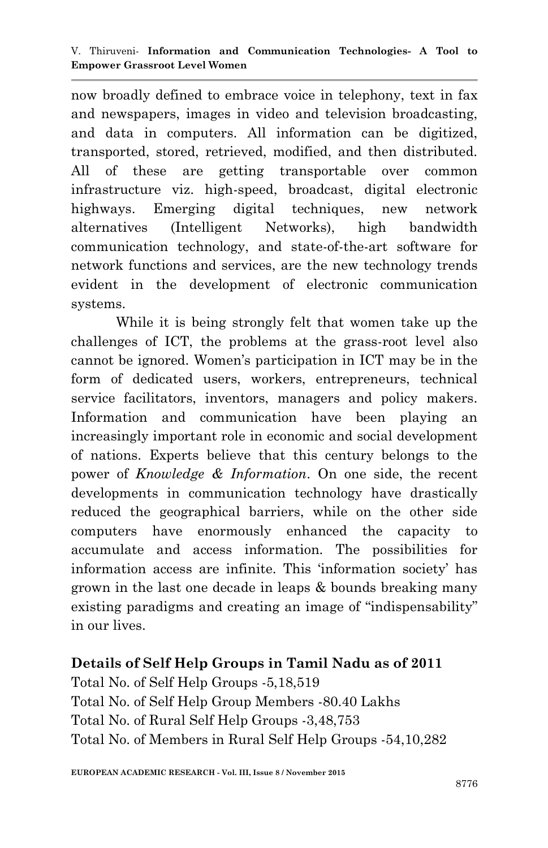now broadly defined to embrace voice in telephony, text in fax and newspapers, images in video and television broadcasting, and data in computers. All information can be digitized, transported, stored, retrieved, modified, and then distributed. All of these are getting transportable over common infrastructure viz. high-speed, broadcast, digital electronic highways. Emerging digital techniques, new network alternatives (Intelligent Networks), high bandwidth communication technology, and state-of-the-art software for network functions and services, are the new technology trends evident in the development of electronic communication systems.

While it is being strongly felt that women take up the challenges of ICT, the problems at the grass-root level also cannot be ignored. Women"s participation in ICT may be in the form of dedicated users, workers, entrepreneurs, technical service facilitators, inventors, managers and policy makers. Information and communication have been playing an increasingly important role in economic and social development of nations. Experts believe that this century belongs to the power of *Knowledge & Information*. On one side, the recent developments in communication technology have drastically reduced the geographical barriers, while on the other side computers have enormously enhanced the capacity to accumulate and access information. The possibilities for information access are infinite. This "information society" has grown in the last one decade in leaps & bounds breaking many existing paradigms and creating an image of "indispensability" in our lives.

#### **Details of Self Help Groups in Tamil Nadu as of 2011**

Total No. of Self Help Groups -5,18,519 Total No. of Self Help Group Members -80.40 Lakhs Total No. of Rural Self Help Groups -3,48,753 Total No. of Members in Rural Self Help Groups -54,10,282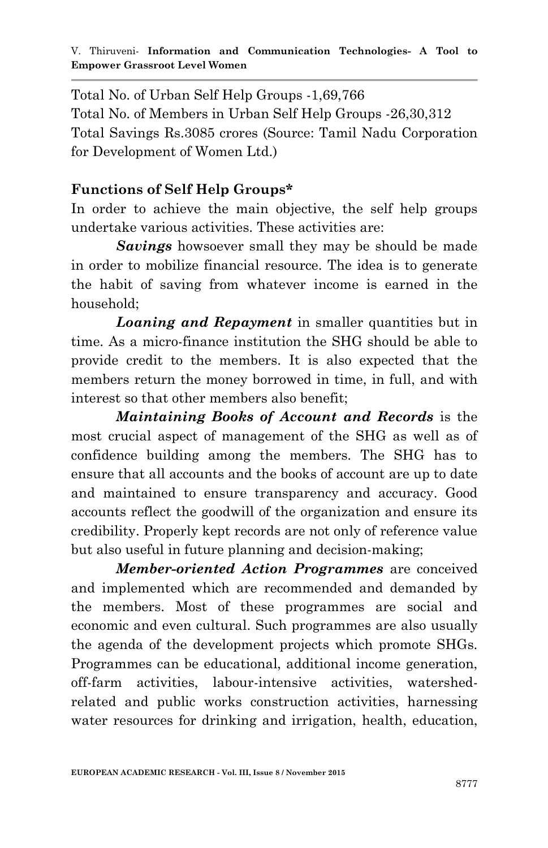Total No. of Urban Self Help Groups -1,69,766 Total No. of Members in Urban Self Help Groups -26,30,312 Total Savings Rs.3085 crores (Source: Tamil Nadu Corporation for Development of Women Ltd.)

#### **Functions of Self Help Groups\***

In order to achieve the main objective, the self help groups undertake various activities. These activities are:

*Savings* howsoever small they may be should be made in order to mobilize financial resource. The idea is to generate the habit of saving from whatever income is earned in the household;

*Loaning and Repayment* in smaller quantities but in time. As a micro-finance institution the SHG should be able to provide credit to the members. It is also expected that the members return the money borrowed in time, in full, and with interest so that other members also benefit;

*Maintaining Books of Account and Records* is the most crucial aspect of management of the SHG as well as of confidence building among the members. The SHG has to ensure that all accounts and the books of account are up to date and maintained to ensure transparency and accuracy. Good accounts reflect the goodwill of the organization and ensure its credibility. Properly kept records are not only of reference value but also useful in future planning and decision-making;

*Member-oriented Action Programmes* are conceived and implemented which are recommended and demanded by the members. Most of these programmes are social and economic and even cultural. Such programmes are also usually the agenda of the development projects which promote SHGs. Programmes can be educational, additional income generation, off-farm activities, labour-intensive activities, watershedrelated and public works construction activities, harnessing water resources for drinking and irrigation, health, education,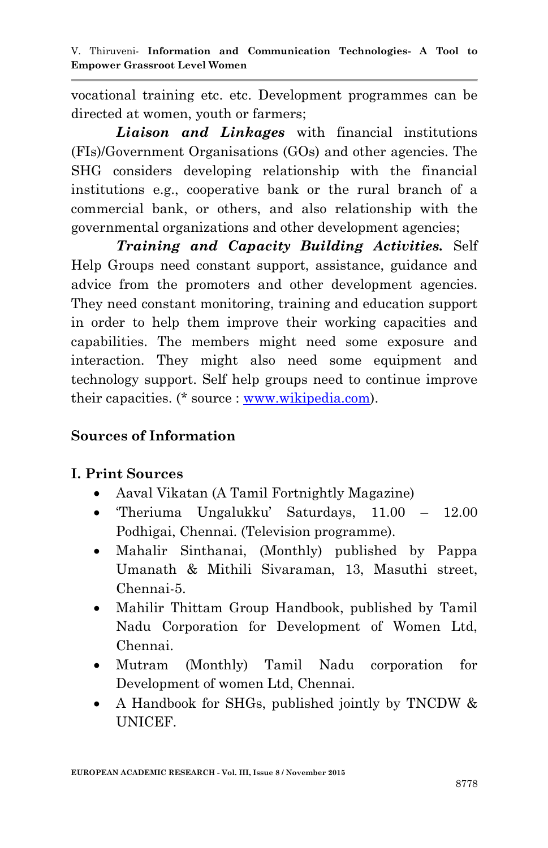vocational training etc. etc. Development programmes can be directed at women, youth or farmers;

*Liaison and Linkages* with financial institutions (FIs)/Government Organisations (GOs) and other agencies. The SHG considers developing relationship with the financial institutions e.g., cooperative bank or the rural branch of a commercial bank, or others, and also relationship with the governmental organizations and other development agencies;

*Training and Capacity Building Activities.* Self Help Groups need constant support, assistance, guidance and advice from the promoters and other development agencies. They need constant monitoring, training and education support in order to help them improve their working capacities and capabilities. The members might need some exposure and interaction. They might also need some equipment and technology support. Self help groups need to continue improve their capacities. (\* source : [www.wikipedia.com\)](http://www.wikipedia.com/).

## **Sources of Information**

#### **I. Print Sources**

- Aaval Vikatan (A Tamil Fortnightly Magazine)
- Theriuma Ungalukku' Saturdays, 11.00 12.00 Podhigai, Chennai. (Television programme).
- Mahalir Sinthanai, (Monthly) published by Pappa Umanath & Mithili Sivaraman, 13, Masuthi street, Chennai-5.
- Mahilir Thittam Group Handbook, published by Tamil Nadu Corporation for Development of Women Ltd, Chennai.
- Mutram (Monthly) Tamil Nadu corporation for Development of women Ltd, Chennai.
- A Handbook for SHGs, published jointly by TNCDW & UNICEF.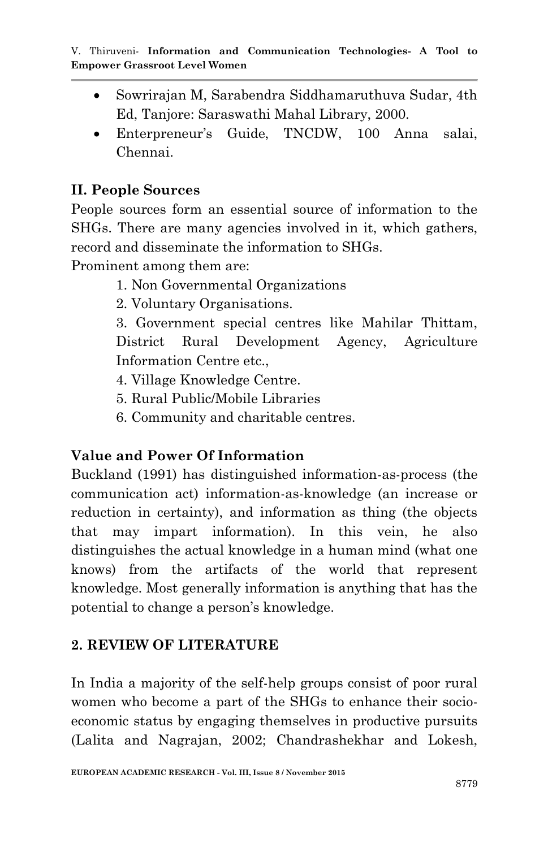- Sowrirajan M, Sarabendra Siddhamaruthuva Sudar, 4th Ed, Tanjore: Saraswathi Mahal Library, 2000.
- Enterpreneur"s Guide, TNCDW, 100 Anna salai, Chennai.

## **II. People Sources**

People sources form an essential source of information to the SHGs. There are many agencies involved in it, which gathers, record and disseminate the information to SHGs.

Prominent among them are:

- 1. Non Governmental Organizations
- 2. Voluntary Organisations.

3. Government special centres like Mahilar Thittam, District Rural Development Agency, Agriculture Information Centre etc.,

- 4. Village Knowledge Centre.
- 5. Rural Public/Mobile Libraries
- 6. Community and charitable centres.

## **Value and Power Of Information**

Buckland (1991) has distinguished information-as-process (the communication act) information-as-knowledge (an increase or reduction in certainty), and information as thing (the objects that may impart information). In this vein, he also distinguishes the actual knowledge in a human mind (what one knows) from the artifacts of the world that represent knowledge. Most generally information is anything that has the potential to change a person"s knowledge.

# **2. REVIEW OF LITERATURE**

In India a majority of the self-help groups consist of poor rural women who become a part of the SHGs to enhance their socioeconomic status by engaging themselves in productive pursuits (Lalita and Nagrajan, 2002; Chandrashekhar and Lokesh,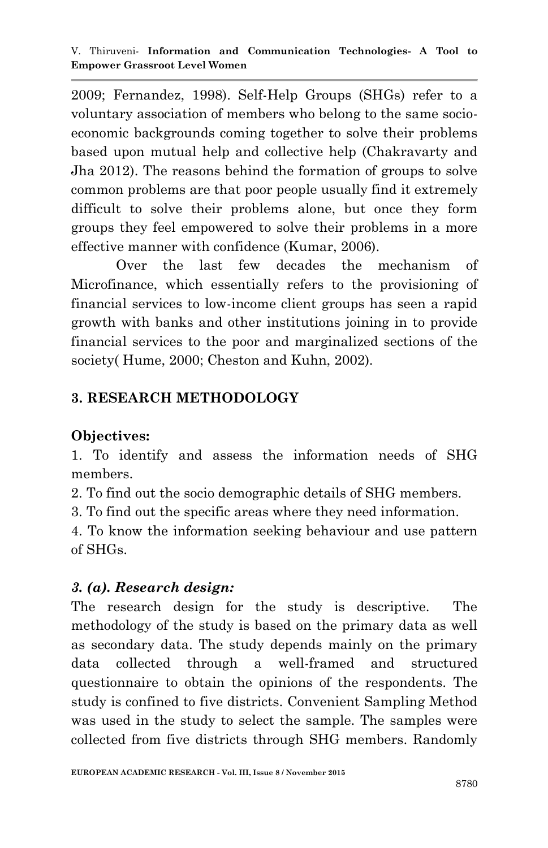2009; Fernandez, 1998). Self-Help Groups (SHGs) refer to a voluntary association of members who belong to the same socioeconomic backgrounds coming together to solve their problems based upon mutual help and collective help (Chakravarty and Jha 2012). The reasons behind the formation of groups to solve common problems are that poor people usually find it extremely difficult to solve their problems alone, but once they form groups they feel empowered to solve their problems in a more effective manner with confidence (Kumar, 2006).

Over the last few decades the mechanism of Microfinance, which essentially refers to the provisioning of financial services to low-income client groups has seen a rapid growth with banks and other institutions joining in to provide financial services to the poor and marginalized sections of the society( Hume, 2000; Cheston and Kuhn, 2002).

# **3. RESEARCH METHODOLOGY**

# **Objectives:**

1. To identify and assess the information needs of SHG members.

2. To find out the socio demographic details of SHG members.

3. To find out the specific areas where they need information.

4. To know the information seeking behaviour and use pattern of SHGs.

# *3. (a). Research design:*

The research design for the study is descriptive. The methodology of the study is based on the primary data as well as secondary data. The study depends mainly on the primary data collected through a well-framed and structured questionnaire to obtain the opinions of the respondents. The study is confined to five districts. Convenient Sampling Method was used in the study to select the sample. The samples were collected from five districts through SHG members. Randomly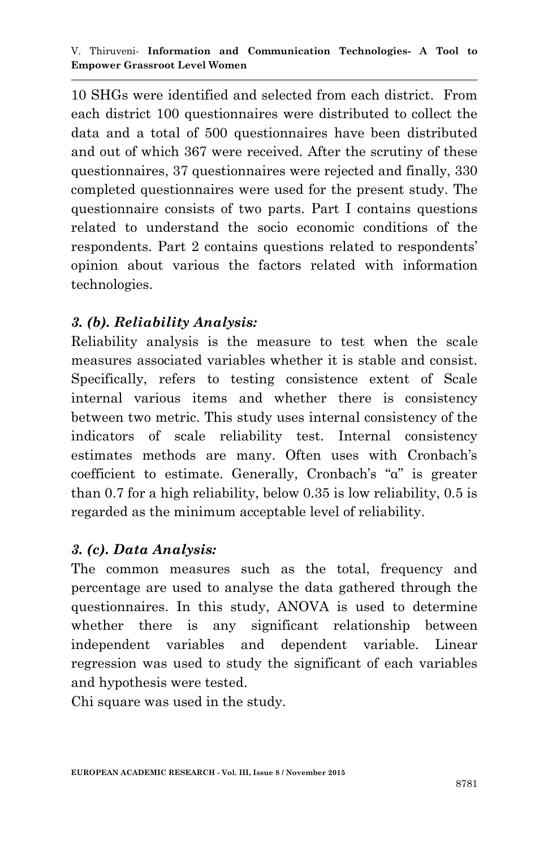10 SHGs were identified and selected from each district. From each district 100 questionnaires were distributed to collect the data and a total of 500 questionnaires have been distributed and out of which 367 were received. After the scrutiny of these questionnaires, 37 questionnaires were rejected and finally, 330 completed questionnaires were used for the present study. The questionnaire consists of two parts. Part I contains questions related to understand the socio economic conditions of the respondents. Part 2 contains questions related to respondents" opinion about various the factors related with information technologies.

## *3. (b). Reliability Analysis:*

Reliability analysis is the measure to test when the scale measures associated variables whether it is stable and consist. Specifically, refers to testing consistence extent of Scale internal various items and whether there is consistency between two metric. This study uses internal consistency of the indicators of scale reliability test. Internal consistency estimates methods are many. Often uses with Cronbach"s coefficient to estimate. Generally, Cronbach's "α" is greater than 0.7 for a high reliability, below 0.35 is low reliability, 0.5 is regarded as the minimum acceptable level of reliability.

#### *3. (c). Data Analysis:*

The common measures such as the total, frequency and percentage are used to analyse the data gathered through the questionnaires. In this study, ANOVA is used to determine whether there is any significant relationship between independent variables and dependent variable. Linear regression was used to study the significant of each variables and hypothesis were tested.

Chi square was used in the study.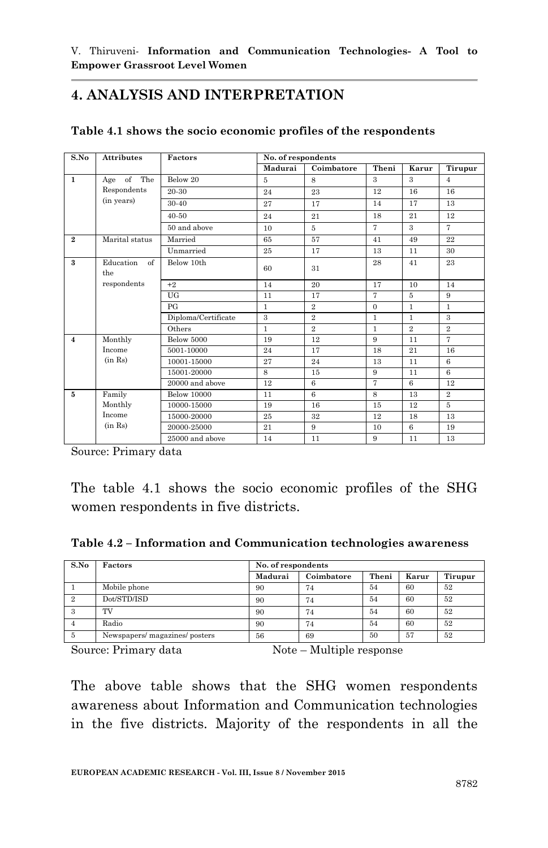## **4. ANALYSIS AND INTERPRETATION**

| S.No           | <b>Attributes</b>      | Factors             | No. of respondents |                |                |                |                |  |
|----------------|------------------------|---------------------|--------------------|----------------|----------------|----------------|----------------|--|
|                |                        |                     | Madurai            | Coimbatore     | Theni          | Karur          | Tirupur        |  |
| $\mathbf{1}$   | Age of The             | Below 20            | 5                  | 8              | 3              | 3              | $\overline{4}$ |  |
|                | Respondents            | 20-30               | 24                 | 23             | 12             | 16             | 16             |  |
|                | (in years)             | 30-40               | 27                 | 17             | 14             | 17             | 13             |  |
|                |                        | $40 - 50$           | 24                 | 21             | 18             | 21             | 12             |  |
|                |                        | 50 and above        | 10                 | 5              | $\overline{7}$ | $\mathbf{a}$   | $\overline{7}$ |  |
| $\overline{2}$ | Marital status         | Married             | 65                 | 57             | 41             | 49             | 22             |  |
|                |                        | Unmarried           | 25                 | 17             | 13             | 11             | 30             |  |
| $\mathbf{a}$   | Education<br>of<br>the | Below 10th          | 60                 | 31             | 28             | 41             | 23             |  |
|                | respondents            | $+2$                | 14                 | 20             | 17             | 10             | 14             |  |
|                |                        | <b>UG</b>           | 11                 | 17             | 7              | 5              | 9              |  |
|                |                        | PG                  | $\mathbf{1}$       | $\overline{2}$ | $\Omega$       | $\mathbf{1}$   | $\mathbf{1}$   |  |
|                |                        | Diploma/Certificate | 3                  | $\overline{2}$ | $\mathbf{1}$   | $\mathbf{1}$   | 3              |  |
|                |                        | Others              | $\mathbf{1}$       | $\overline{2}$ | $\mathbf{1}$   | $\overline{2}$ | $\overline{2}$ |  |
| $\overline{4}$ | Monthly                | <b>Below 5000</b>   | 19                 | 12             | 9              | 11             | 7              |  |
|                | Income                 | 5001-10000          | 24                 | 17             | 18             | 21             | 16             |  |
|                | (in Rs)                | 10001-15000         | 27                 | 24             | 13             | 11             | 6              |  |
|                |                        | 15001-20000         | 8                  | 15             | 9              | 11             | 6              |  |
|                |                        | 20000 and above     | 12                 | 6              | $\overline{7}$ | 6              | 12             |  |
| $\overline{5}$ | Family                 | <b>Below 10000</b>  | 11                 | 6              | 8              | 13             | $\mathbf{2}$   |  |
|                | Monthly                | 10000-15000         | 19                 | 16             | 15             | 12             | 5              |  |
|                | Income                 | 15000-20000         | 25                 | 32             | 12             | 18             | 13             |  |
|                | (in Rs)                | 20000-25000         | 21                 | 9              | 10             | 6              | 19             |  |
|                |                        | 25000 and above     | 14                 | 11             | 9              | 11             | 13             |  |

#### **Table 4.1 shows the socio economic profiles of the respondents**

Source: Primary data

The table 4.1 shows the socio economic profiles of the SHG women respondents in five districts.

**Table 4.2 – Information and Communication technologies awareness**

| S.No | Factors                        | No. of respondents |            |       |       |         |  |  |
|------|--------------------------------|--------------------|------------|-------|-------|---------|--|--|
|      |                                | Madurai            | Coimbatore | Theni | Karur | Tirupur |  |  |
|      | Mobile phone                   | 90                 | 74         | 54    | 60    | 52      |  |  |
| 2    | Dot/STD/ISD                    | 90                 | 74         | 54    | 60    | 52      |  |  |
|      | TV                             | 90                 | 74         | 54    | 60    | 52      |  |  |
|      | Radio                          | 90                 | 74         | 54    | 60    | 52      |  |  |
|      | Newspapers/ magazines/ posters | 56                 | 69         | 50    | 57    | 52      |  |  |

The above table shows that the SHG women respondents awareness about Information and Communication technologies in the five districts. Majority of the respondents in all the

Source: Primary data Note – Multiple response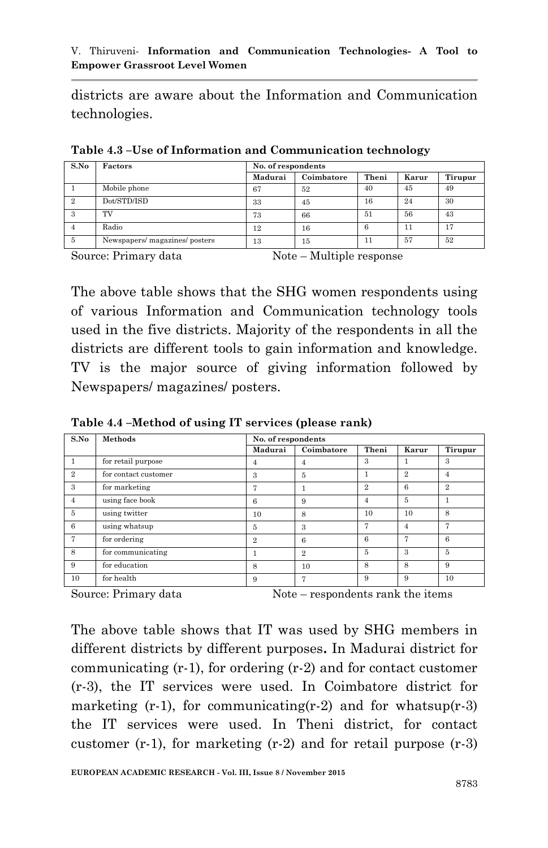districts are aware about the Information and Communication technologies.

| S.No | Factors                      | No. of respondents |            |       |       |         |  |  |
|------|------------------------------|--------------------|------------|-------|-------|---------|--|--|
|      |                              | Madurai            | Coimbatore | Theni | Karur | Tirupur |  |  |
|      | Mobile phone                 | 67                 | 52         | 40    | 45    | 49      |  |  |
| 2    | Dot/STD/ISD                  | 33                 | 45         | 16    | 24    | 30      |  |  |
| 3    | TV                           | 73                 | 66         | 51    | 56    | 43      |  |  |
|      | Radio                        | 12                 | 16         | 6     | 11    | 17      |  |  |
| 5    | Newspapers/magazines/posters | 13                 | 15         | 11    | 57    | 52      |  |  |

**Table 4.3 –Use of Information and Communication technology**

Source: Primary data Note – Multiple response

The above table shows that the SHG women respondents using of various Information and Communication technology tools used in the five districts. Majority of the respondents in all the districts are different tools to gain information and knowledge. TV is the major source of giving information followed by Newspapers/ magazines/ posters.

**Table 4.4 –Method of using IT services (please rank)**

| S.No           | Methods              | No. of respondents |                |              |              |                |  |
|----------------|----------------------|--------------------|----------------|--------------|--------------|----------------|--|
|                |                      | Madurai            | Coimbatore     | Theni        | Karur        | Tirupur        |  |
|                | for retail purpose   | 4                  | 4              | 3            |              | 3              |  |
| $\overline{2}$ | for contact customer | 3                  | 5              | 1            | $\mathbf{2}$ | 4              |  |
| 3              | for marketing        | 7                  |                | $\mathbf{2}$ | 6            | $\overline{2}$ |  |
| $\overline{4}$ | using face book      | 6                  | 9              | 4            | 5            |                |  |
| 5              | using twitter        | 10                 | 8              | 10           | 10           | 8              |  |
| 6              | using whatsup        | 5                  | 3              | 7            | 4            | 7              |  |
| 7              | for ordering         | $\overline{2}$     | 6              | 6            | 7            | 6              |  |
| 8              | for communicating    |                    | $\overline{2}$ | 5            | 3            | 5              |  |
| 9              | for education        | 8                  | 10             | 8            | 8            | 9              |  |
| 10             | for health           | 9                  | 7              | 9            | 9            | 10             |  |

Source: Primary data Note – respondents rank the items

The above table shows that IT was used by SHG members in different districts by different purposes**.** In Madurai district for communicating (r-1), for ordering (r-2) and for contact customer (r-3), the IT services were used. In Coimbatore district for marketing  $(r-1)$ , for communicating $(r-2)$  and for whatsup $(r-3)$ the IT services were used. In Theni district, for contact customer  $(r-1)$ , for marketing  $(r-2)$  and for retail purpose  $(r-3)$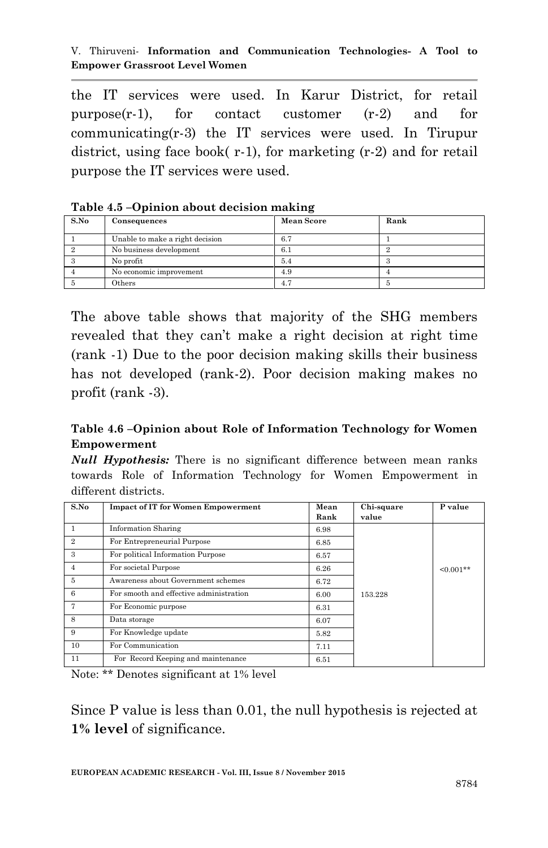the IT services were used. In Karur District, for retail purpose(r-1), for contact customer (r-2) and for communicating(r-3) the IT services were used. In Tirupur district, using face book( r-1), for marketing (r-2) and for retail purpose the IT services were used.

| S.No | Consequences                    | <b>Mean Score</b> | Rank |
|------|---------------------------------|-------------------|------|
|      | Unable to make a right decision | 6.7               |      |
|      | No business development         | 6.1               |      |
|      | No profit                       | 5.4               |      |
|      | No economic improvement         | 4.9               |      |
|      | Others                          | 4.7               |      |

**Table 4.5 –Opinion about decision making**

The above table shows that majority of the SHG members revealed that they can't make a right decision at right time (rank -1) Due to the poor decision making skills their business has not developed (rank-2). Poor decision making makes no profit (rank -3).

#### **Table 4.6 –Opinion about Role of Information Technology for Women Empowerment**

*Null Hypothesis:* There is no significant difference between mean ranks towards Role of Information Technology for Women Empowerment in different districts.

| S.No           | <b>Impact of IT for Women Empowerment</b> | Mean | Chi-square | P value     |
|----------------|-------------------------------------------|------|------------|-------------|
|                |                                           | Rank | value      |             |
|                | <b>Information Sharing</b>                | 6.98 |            |             |
| $\overline{2}$ | For Entrepreneurial Purpose               | 6.85 |            |             |
| 3              | For political Information Purpose         | 6.57 |            |             |
| $\overline{4}$ | For societal Purpose                      | 6.26 |            | $< 0.001**$ |
| 5              | Awareness about Government schemes        | 6.72 |            |             |
| 6              | For smooth and effective administration   | 6.00 | 153.228    |             |
| 7              | For Economic purpose                      | 6.31 |            |             |
| 8              | Data storage                              | 6.07 |            |             |
| 9              | For Knowledge update                      | 5.82 |            |             |
| 10             | For Communication                         | 7.11 |            |             |
| 11             | For Record Keeping and maintenance        | 6.51 |            |             |

Note: \*\* Denotes significant at 1% level

Since P value is less than 0.01, the null hypothesis is rejected at **1% level** of significance.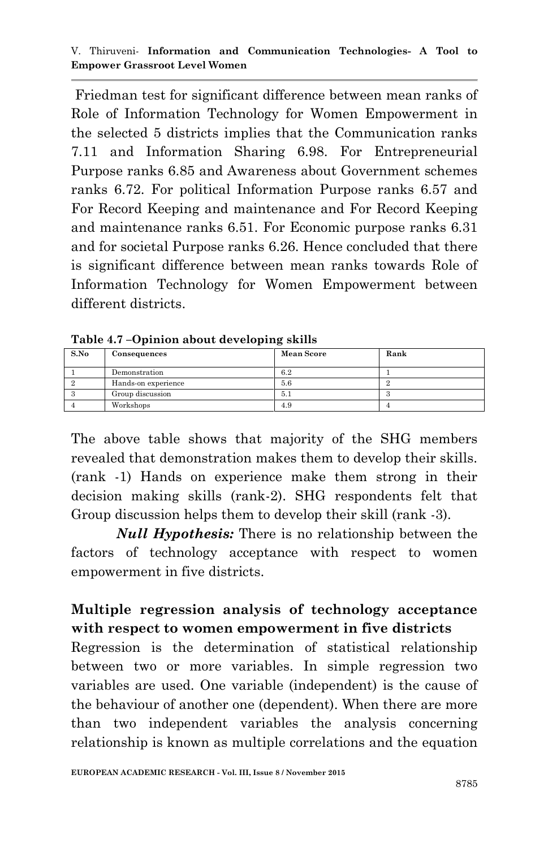Friedman test for significant difference between mean ranks of Role of Information Technology for Women Empowerment in the selected 5 districts implies that the Communication ranks 7.11 and Information Sharing 6.98. For Entrepreneurial Purpose ranks 6.85 and Awareness about Government schemes ranks 6.72. For political Information Purpose ranks 6.57 and For Record Keeping and maintenance and For Record Keeping and maintenance ranks 6.51. For Economic purpose ranks 6.31 and for societal Purpose ranks 6.26. Hence concluded that there is significant difference between mean ranks towards Role of Information Technology for Women Empowerment between different districts.

| S.No | Consequences        | <b>Mean Score</b> | Rank |
|------|---------------------|-------------------|------|
|      | Demonstration       | 6.2               |      |
|      | Hands-on experience | 5.6               |      |
|      | Group discussion    | 5.1               | .,   |
|      | Workshops           | 4.9               |      |

**Table 4.7 –Opinion about developing skills**

The above table shows that majority of the SHG members revealed that demonstration makes them to develop their skills. (rank -1) Hands on experience make them strong in their decision making skills (rank-2). SHG respondents felt that Group discussion helps them to develop their skill (rank -3).

*Null Hypothesis:* There is no relationship between the factors of technology acceptance with respect to women empowerment in five districts.

## **Multiple regression analysis of technology acceptance with respect to women empowerment in five districts**

Regression is the determination of statistical relationship between two or more variables. In simple regression two variables are used. One variable (independent) is the cause of the behaviour of another one (dependent). When there are more than two independent variables the analysis concerning relationship is known as multiple correlations and the equation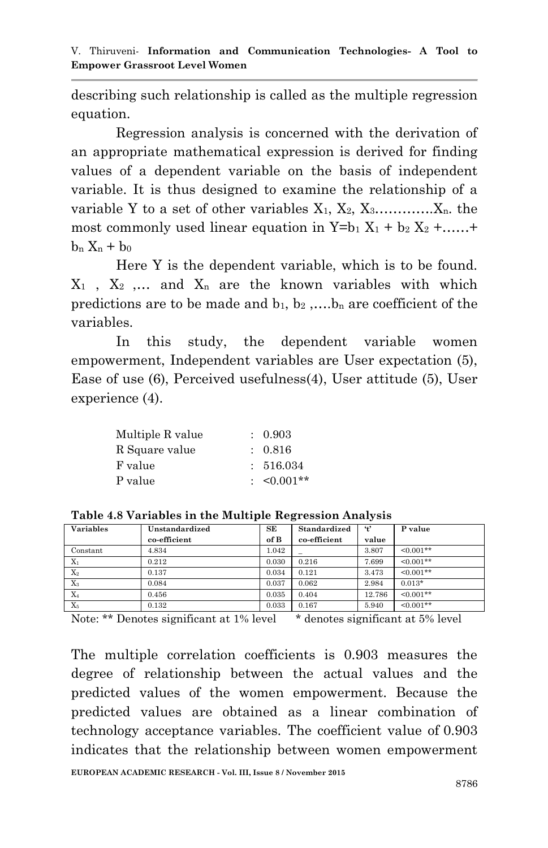describing such relationship is called as the multiple regression equation.

Regression analysis is concerned with the derivation of an appropriate mathematical expression is derived for finding values of a dependent variable on the basis of independent variable. It is thus designed to examine the relationship of a variable Y to a set of other variables  $X_1, X_2, X_3, \ldots, X_n$ , the most commonly used linear equation in  $Y=b_1 X_1 + b_2 X_2 + \ldots$ +  $b_n X_n + b_0$ 

Here Y is the dependent variable, which is to be found.  $X_1$ ,  $X_2$ ,  $\ldots$  and  $X_n$  are the known variables with which predictions are to be made and  $b_1, b_2, \ldots, b_n$  are coefficient of the variables.

In this study, the dependent variable women empowerment, Independent variables are User expectation (5), Ease of use (6), Perceived usefulness(4), User attitude (5), User experience (4).

| Multiple R value | : 0.903        |
|------------------|----------------|
| R Square value   | : 0.816        |
| F value          | : 516.034      |
| P value          | $\leq 0.001**$ |

| <b>Variables</b> | Unstandardized | SE    | Standardized | $\ddot{t}$ | P value     |
|------------------|----------------|-------|--------------|------------|-------------|
|                  | co-efficient   | of B  | co-efficient | value      |             |
| Constant         | 4.834          | 1.042 |              | 3.807      | $< 0.001**$ |
| $X_1$            | 0.212          | 0.030 | 0.216        | 7.699      | $< 0.001**$ |
| $X_2$            | 0.137          | 0.034 | 0.121        | 3.473      | $< 0.001**$ |
| $X_3$            | 0.084          | 0.037 | 0.062        | 2.984      | $0.013*$    |
| $X_4$            | 0.456          | 0.035 | 0.404        | 12.786     | $< 0.001**$ |
| $X_5$            | 0.132          | 0.033 | 0.167        | 5.940      | $< 0.001**$ |

**Table 4.8 Variables in the Multiple Regression Analysis**

Note: \*\* Denotes significant at 1% level \* denotes significant at 5% level

The multiple correlation coefficients is 0.903 measures the degree of relationship between the actual values and the predicted values of the women empowerment. Because the predicted values are obtained as a linear combination of technology acceptance variables. The coefficient value of 0.903 indicates that the relationship between women empowerment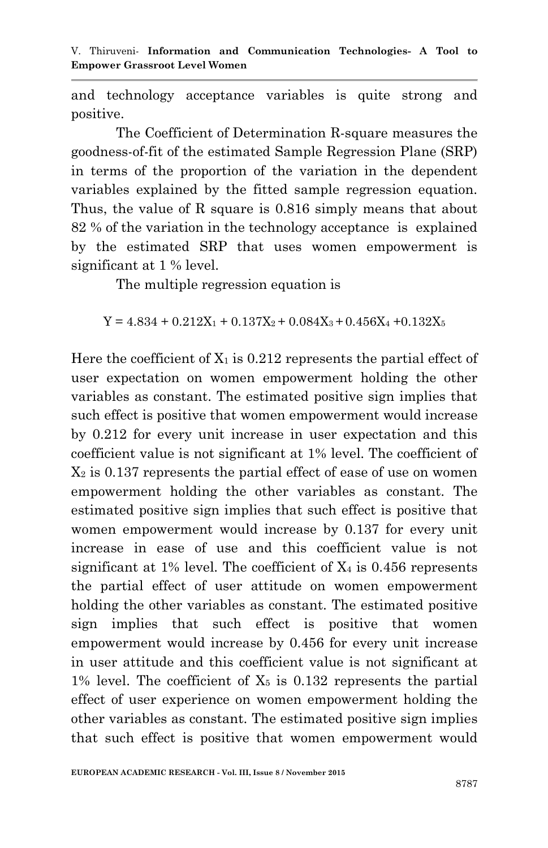and technology acceptance variables is quite strong and positive.

The Coefficient of Determination R-square measures the goodness-of-fit of the estimated Sample Regression Plane (SRP) in terms of the proportion of the variation in the dependent variables explained by the fitted sample regression equation. Thus, the value of R square is 0.816 simply means that about 82 % of the variation in the technology acceptance is explained by the estimated SRP that uses women empowerment is significant at 1 % level.

The multiple regression equation is

 $Y = 4.834 + 0.212X_1 + 0.137X_2 + 0.084X_3 + 0.456X_4 + 0.132X_5$ 

Here the coefficient of  $X_1$  is 0.212 represents the partial effect of user expectation on women empowerment holding the other variables as constant. The estimated positive sign implies that such effect is positive that women empowerment would increase by 0.212 for every unit increase in user expectation and this coefficient value is not significant at 1% level. The coefficient of  $X_2$  is 0.137 represents the partial effect of ease of use on women empowerment holding the other variables as constant. The estimated positive sign implies that such effect is positive that women empowerment would increase by 0.137 for every unit increase in ease of use and this coefficient value is not significant at 1% level. The coefficient of  $X_4$  is 0.456 represents the partial effect of user attitude on women empowerment holding the other variables as constant. The estimated positive sign implies that such effect is positive that women empowerment would increase by 0.456 for every unit increase in user attitude and this coefficient value is not significant at 1% level. The coefficient of  $X_5$  is 0.132 represents the partial effect of user experience on women empowerment holding the other variables as constant. The estimated positive sign implies that such effect is positive that women empowerment would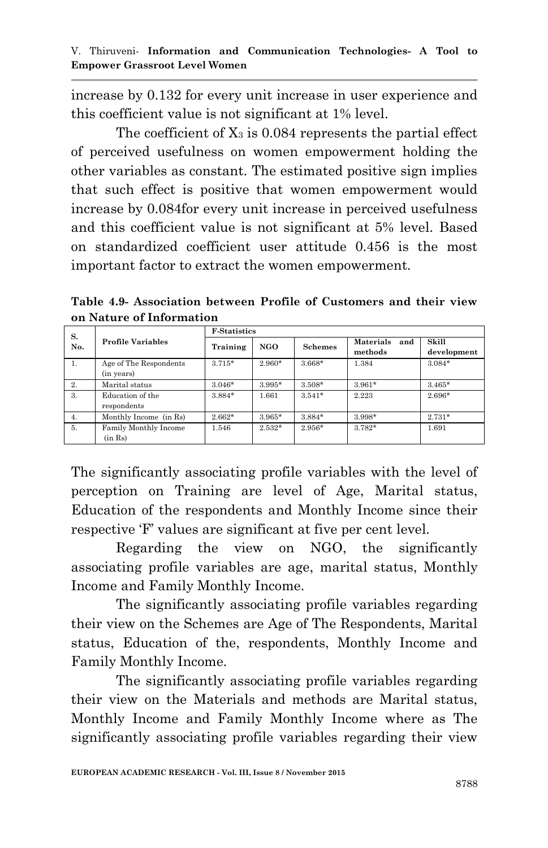increase by 0.132 for every unit increase in user experience and this coefficient value is not significant at 1% level.

The coefficient of  $X_3$  is 0.084 represents the partial effect of perceived usefulness on women empowerment holding the other variables as constant. The estimated positive sign implies that such effect is positive that women empowerment would increase by 0.084for every unit increase in perceived usefulness and this coefficient value is not significant at 5% level. Based on standardized coefficient user attitude 0.456 is the most important factor to extract the women empowerment.

**Table 4.9- Association between Profile of Customers and their view on Nature of Information**

| S.  |                          | <b>F-Statistics</b> |          |                |                                    |                      |  |  |
|-----|--------------------------|---------------------|----------|----------------|------------------------------------|----------------------|--|--|
| No. | <b>Profile Variables</b> | Training            | NGO      | <b>Schemes</b> | <b>Materials</b><br>and<br>methods | Skill<br>development |  |  |
| 1.  | Age of The Respondents   | $3.715*$            | 2.960*   | 3.668*         | 1.384                              | $3.084*$             |  |  |
|     | (in years)               |                     |          |                |                                    |                      |  |  |
| 2.  | Marital status           | $3.046*$            | $3.995*$ | $3.508*$       | $3.961*$                           | $3.465*$             |  |  |
| 3.  | Education of the         | 3.884*              | 1.661    | $3.541*$       | 2.223                              | 2.696*               |  |  |
|     | respondents              |                     |          |                |                                    |                      |  |  |
| 4.  | Monthly Income (in Rs)   | $2.662*$            | $3.965*$ | $3.884*$       | $3.998*$                           | $2.731*$             |  |  |
| 5.  | Family Monthly Income    | 1.546               | $2.532*$ | $2.956*$       | $3.782*$                           | 1.691                |  |  |
|     | (in Rs)                  |                     |          |                |                                    |                      |  |  |

The significantly associating profile variables with the level of perception on Training are level of Age, Marital status, Education of the respondents and Monthly Income since their respective 'F' values are significant at five per cent level.

Regarding the view on NGO, the significantly associating profile variables are age, marital status, Monthly Income and Family Monthly Income.

The significantly associating profile variables regarding their view on the Schemes are Age of The Respondents, Marital status, Education of the, respondents, Monthly Income and Family Monthly Income.

The significantly associating profile variables regarding their view on the Materials and methods are Marital status, Monthly Income and Family Monthly Income where as The significantly associating profile variables regarding their view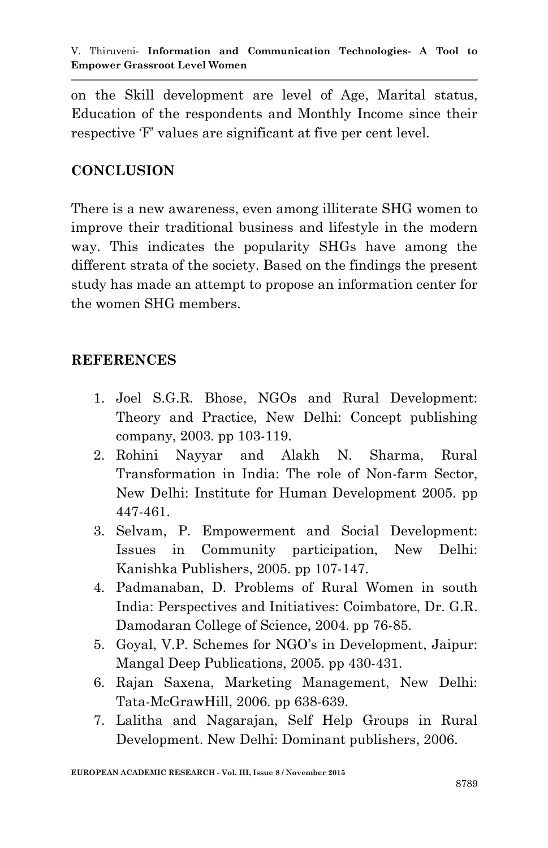on the Skill development are level of Age, Marital status, Education of the respondents and Monthly Income since their respective 'F' values are significant at five per cent level.

#### **CONCLUSION**

There is a new awareness, even among illiterate SHG women to improve their traditional business and lifestyle in the modern way. This indicates the popularity SHGs have among the different strata of the society. Based on the findings the present study has made an attempt to propose an information center for the women SHG members.

#### **REFERENCES**

- 1. Joel S.G.R. Bhose, NGOs and Rural Development: Theory and Practice, New Delhi: Concept publishing company, 2003. pp 103-119.
- 2. Rohini Nayyar and Alakh N. Sharma, Rural Transformation in India: The role of Non-farm Sector, New Delhi: Institute for Human Development 2005. pp 447-461.
- 3. Selvam, P. Empowerment and Social Development: Issues in Community participation, New Delhi: Kanishka Publishers, 2005. pp 107-147.
- 4. Padmanaban, D. Problems of Rural Women in south India: Perspectives and Initiatives: Coimbatore, Dr. G.R. Damodaran College of Science, 2004. pp 76-85.
- 5. Goyal, V.P. Schemes for NGO"s in Development, Jaipur: Mangal Deep Publications, 2005. pp 430-431.
- 6. Rajan Saxena, Marketing Management, New Delhi: Tata-McGrawHill, 2006. pp 638-639.
- 7. Lalitha and Nagarajan, Self Help Groups in Rural Development. New Delhi: Dominant publishers, 2006.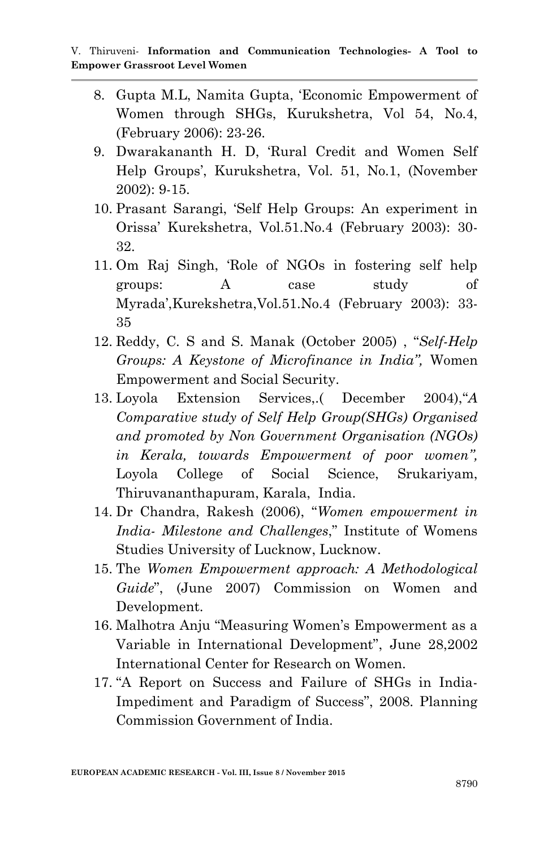- 8. Gupta M.L, Namita Gupta, "Economic Empowerment of Women through SHGs, Kurukshetra, Vol 54, No.4, (February 2006): 23-26.
- 9. Dwarakananth H. D, "Rural Credit and Women Self Help Groups', Kurukshetra, Vol. 51, No.1, (November) 2002): 9-15.
- 10. Prasant Sarangi, "Self Help Groups: An experiment in Orissa" Kurekshetra, Vol.51.No.4 (February 2003): 30- 32.
- 11. Om Raj Singh, "Role of NGOs in fostering self help groups: A case study of Myrada",Kurekshetra,Vol.51.No.4 (February 2003): 33- 35
- 12. Reddy, C. S and S. Manak (October 2005) , "*Self-Help Groups: A Keystone of Microfinance in India",* Women Empowerment and Social Security.
- 13. Loyola Extension Services,.( December 2004),"*A Comparative study of Self Help Group(SHGs) Organised and promoted by Non Government Organisation (NGOs) in Kerala, towards Empowerment of poor women",*  Loyola College of Social Science, Srukariyam, Thiruvananthapuram, Karala, India.
- 14. Dr Chandra, Rakesh (2006), "*Women empowerment in India- Milestone and Challenges*," Institute of Womens Studies University of Lucknow, Lucknow.
- 15. The *Women Empowerment approach: A Methodological Guide*", (June 2007) Commission on Women and Development.
- 16. Malhotra Anju "Measuring Women"s Empowerment as a Variable in International Development", June 28,2002 International Center for Research on Women.
- 17. "A Report on Success and Failure of SHGs in India-Impediment and Paradigm of Success", 2008. Planning Commission Government of India.